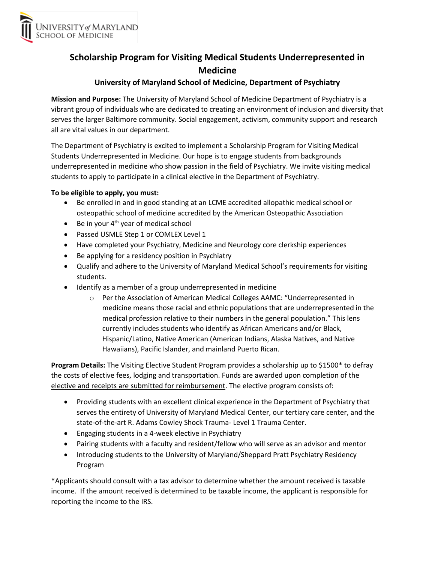

# **Scholarship Program for Visiting Medical Students Underrepresented in Medicine**

## **University of Maryland School of Medicine, Department of Psychiatry**

**Mission and Purpose:** The University of Maryland School of Medicine Department of Psychiatry is a vibrant group of individuals who are dedicated to creating an environment of inclusion and diversity that serves the larger Baltimore community. Social engagement, activism, community support and research all are vital values in our department.

The Department of Psychiatry is excited to implement a Scholarship Program for Visiting Medical Students Underrepresented in Medicine. Our hope is to engage students from backgrounds underrepresented in medicine who show passion in the field of Psychiatry. We invite visiting medical students to apply to participate in a clinical elective in the Department of Psychiatry.

#### **To be eligible to apply, you must:**

- Be enrolled in and in good standing at an LCME accredited allopathic medical school or osteopathic school of medicine accredited by the American Osteopathic Association
- Be in your  $4<sup>th</sup>$  year of medical school
- Passed USMLE Step 1 or COMLEX Level 1
- Have completed your Psychiatry, Medicine and Neurology core clerkship experiences
- Be applying for a residency position in Psychiatry
- Qualify and adhere to the University of Maryland Medical School's requirements for visiting students.
- Identify as a member of a group underrepresented in medicine
	- o Per the Association of American Medical Colleges AAMC: "Underrepresented in medicine means those racial and ethnic populations that are underrepresented in the medical profession relative to their numbers in the general population." This lens currently includes students who identify as African Americans and/or Black, Hispanic/Latino, Native American (American Indians, Alaska Natives, and Native Hawaiians), Pacific Islander, and mainland Puerto Rican.

**Program Details:** The Visiting Elective Student Program provides a scholarship up to \$1500\* to defray the costs of elective fees, lodging and transportation. Funds are awarded upon completion of the elective and receipts are submitted for reimbursement. The elective program consists of:

- Providing students with an excellent clinical experience in the Department of Psychiatry that serves the entirety of University of Maryland Medical Center, our tertiary care center, and the state-of-the-art R. Adams Cowley Shock Trauma- Level 1 Trauma Center.
- Engaging students in a 4-week elective in Psychiatry
- Pairing students with a faculty and resident/fellow who will serve as an advisor and mentor
- Introducing students to the University of Maryland/Sheppard Pratt Psychiatry Residency Program

\*Applicants should consult with a tax advisor to determine whether the amount received is taxable income. If the amount received is determined to be taxable income, the applicant is responsible for reporting the income to the IRS.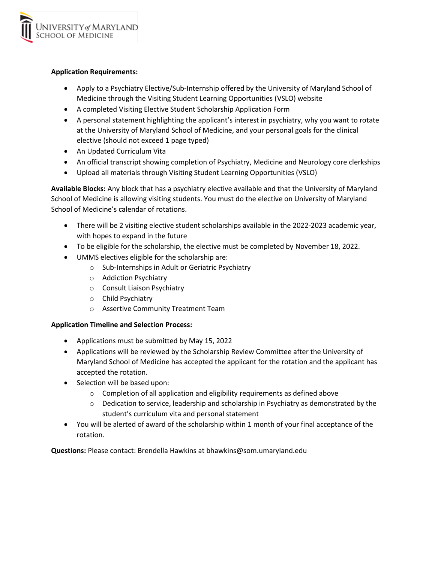

#### **Application Requirements:**

- Apply to a Psychiatry Elective/Sub-Internship offered by the University of Maryland School of Medicine through the Visiting Student Learning Opportunities (VSLO) website
- A completed Visiting Elective Student Scholarship Application Form
- A personal statement highlighting the applicant's interest in psychiatry, why you want to rotate at the University of Maryland School of Medicine, and your personal goals for the clinical elective (should not exceed 1 page typed)
- An Updated Curriculum Vita
- An official transcript showing completion of Psychiatry, Medicine and Neurology core clerkships
- Upload all materials through Visiting Student Learning Opportunities (VSLO)

**Available Blocks:** Any block that has a psychiatry elective available and that the University of Maryland School of Medicine is allowing visiting students. You must do the elective on University of Maryland School of Medicine's calendar of rotations.

- There will be 2 visiting elective student scholarships available in the 2022-2023 academic year, with hopes to expand in the future
- To be eligible for the scholarship, the elective must be completed by November 18, 2022.
- UMMS electives eligible for the scholarship are:
	- o Sub-Internships in Adult or Geriatric Psychiatry
	- o Addiction Psychiatry
	- o Consult Liaison Psychiatry
	- o Child Psychiatry
	- o Assertive Community Treatment Team

### **Application Timeline and Selection Process:**

- Applications must be submitted by May 15, 2022
- Applications will be reviewed by the Scholarship Review Committee after the University of Maryland School of Medicine has accepted the applicant for the rotation and the applicant has accepted the rotation.
- Selection will be based upon:
	- o Completion of all application and eligibility requirements as defined above
	- $\circ$  Dedication to service, leadership and scholarship in Psychiatry as demonstrated by the student's curriculum vita and personal statement
- You will be alerted of award of the scholarship within 1 month of your final acceptance of the rotation.

**Questions:** Please contact: Brendella Hawkins at bhawkins@som.umaryland.edu